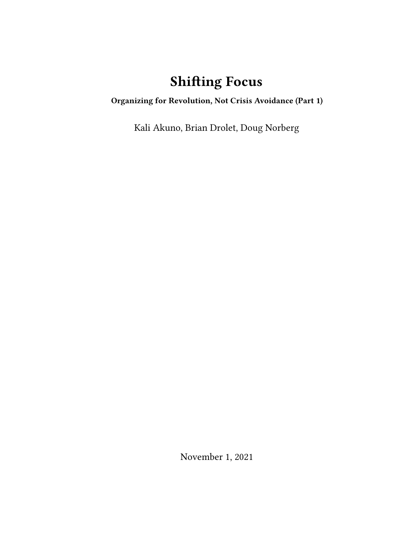## **Shifting Focus**

**Organizing for Revolution, Not Crisis Avoidance (Part 1)**

Kali Akuno, Brian Drolet, Doug Norberg

November 1, 2021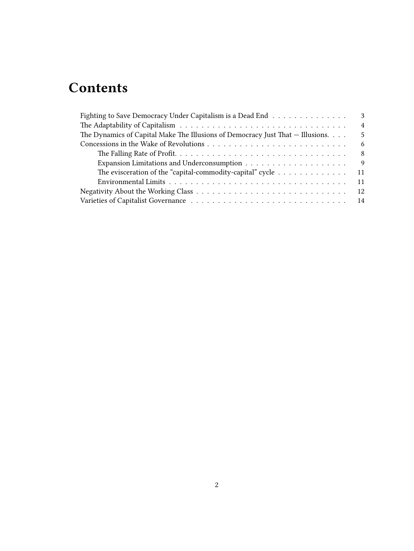# **Contents**

| Fighting to Save Democracy Under Capitalism is a Dead End                                                 | 3              |
|-----------------------------------------------------------------------------------------------------------|----------------|
|                                                                                                           | $\overline{4}$ |
| The Dynamics of Capital Make The Illusions of Democracy Just That $-$ Illusions. $\ldots$                 | 5              |
|                                                                                                           | -6             |
|                                                                                                           | -8             |
|                                                                                                           | 9              |
| The evisceration of the "capital-commodity-capital" cycle $\dots\dots\dots\dots\dots$<br>11               |                |
| Environmental Limits $\ldots \ldots \ldots \ldots \ldots \ldots \ldots \ldots \ldots \ldots \ldots$<br>11 |                |
| -12                                                                                                       |                |
|                                                                                                           |                |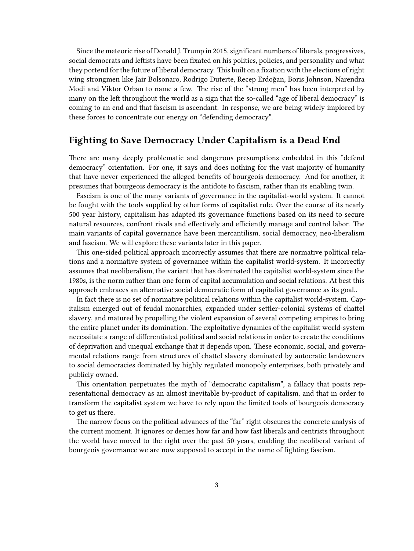Since the meteoric rise of Donald J. Trump in 2015, significant numbers of liberals, progressives, social democrats and leftists have been fixated on his politics, policies, and personality and what they portend for the future of liberal democracy. This built on a fixation with the elections of right wing strongmen like Jair Bolsonaro, Rodrigo Duterte, Recep Erdoğan, Boris Johnson, Narendra Modi and Viktor Orban to name a few. The rise of the "strong men" has been interpreted by many on the left throughout the world as a sign that the so-called "age of liberal democracy" is coming to an end and that fascism is ascendant. In response, we are being widely implored by these forces to concentrate our energy on "defending democracy".

### <span id="page-2-0"></span>**Fighting to Save Democracy Under Capitalism is a Dead End**

There are many deeply problematic and dangerous presumptions embedded in this "defend democracy" orientation. For one, it says and does nothing for the vast majority of humanity that have never experienced the alleged benefits of bourgeois democracy. And for another, it presumes that bourgeois democracy is the antidote to fascism, rather than its enabling twin.

Fascism is one of the many variants of governance in the capitalist-world system. It cannot be fought with the tools supplied by other forms of capitalist rule. Over the course of its nearly 500 year history, capitalism has adapted its governance functions based on its need to secure natural resources, confront rivals and effectively and efficiently manage and control labor. The main variants of capital governance have been mercantilism, social democracy, neo-liberalism and fascism. We will explore these variants later in this paper.

This one-sided political approach incorrectly assumes that there are normative political relations and a normative system of governance within the capitalist world-system. It incorrectly assumes that neoliberalism, the variant that has dominated the capitalist world-system since the 1980s, is the norm rather than one form of capital accumulation and social relations. At best this approach embraces an alternative social democratic form of capitalist governance as its goal..

In fact there is no set of normative political relations within the capitalist world-system. Capitalism emerged out of feudal monarchies, expanded under settler-colonial systems of chattel slavery, and matured by propelling the violent expansion of several competing empires to bring the entire planet under its domination. The exploitative dynamics of the capitalist world-system necessitate a range of differentiated political and social relations in order to create the conditions of deprivation and unequal exchange that it depends upon. These economic, social, and governmental relations range from structures of chattel slavery dominated by autocratic landowners to social democracies dominated by highly regulated monopoly enterprises, both privately and publicly owned.

This orientation perpetuates the myth of "democratic capitalism", a fallacy that posits representational democracy as an almost inevitable by-product of capitalism, and that in order to transform the capitalist system we have to rely upon the limited tools of bourgeois democracy to get us there.

The narrow focus on the political advances of the "far" right obscures the concrete analysis of the current moment. It ignores or denies how far and how fast liberals and centrists throughout the world have moved to the right over the past 50 years, enabling the neoliberal variant of bourgeois governance we are now supposed to accept in the name of fighting fascism.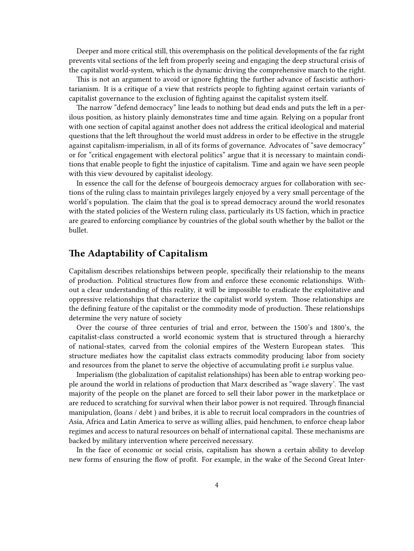Deeper and more critical still, this overemphasis on the political developments of the far right prevents vital sections of the left from properly seeing and engaging the deep structural crisis of the capitalist world-system, which is the dynamic driving the comprehensive march to the right.

This is not an argument to avoid or ignore fighting the further advance of fascistic authoritarianism. It is a critique of a view that restricts people to fighting against certain variants of capitalist governance to the exclusion of fighting against the capitalist system itself.

The narrow "defend democracy" line leads to nothing but dead ends and puts the left in a perilous position, as history plainly demonstrates time and time again. Relying on a popular front with one section of capital against another does not address the critical ideological and material questions that the left throughout the world must address in order to be effective in the struggle against capitalism-imperialism, in all of its forms of governance. Advocates of "save democracy" or for "critical engagement with electoral politics" argue that it is necessary to maintain conditions that enable people to fight the injustice of capitalism. Time and again we have seen people with this view devoured by capitalist ideology.

In essence the call for the defense of bourgeois democracy argues for collaboration with sections of the ruling class to maintain privileges largely enjoyed by a very small percentage of the world's population. The claim that the goal is to spread democracy around the world resonates with the stated policies of the Western ruling class, particularly its US faction, which in practice are geared to enforcing compliance by countries of the global south whether by the ballot or the bullet.

## <span id="page-3-0"></span>**The Adaptability of Capitalism**

Capitalism describes relationships between people, specifically their relationship to the means of production. Political structures flow from and enforce these economic relationships. Without a clear understanding of this reality, it will be impossible to eradicate the exploitative and oppressive relationships that characterize the capitalist world system. Those relationships are the defining feature of the capitalist or the commodity mode of production. These relationships determine the very nature of society

Over the course of three centuries of trial and error, between the 1500's and 1800's, the capitalist-class constructed a world economic system that is structured through a hierarchy of national-states, carved from the colonial empires of the Western European states. This structure mediates how the capitalist class extracts commodity producing labor from society and resources from the planet to serve the objective of accumulating profit i.e surplus value.

Imperialism (the globalization of capitalist relationships) has been able to entrap working people around the world in relations of production that Marx described as "wage slavery'. The vast majority of the people on the planet are forced to sell their labor power in the marketplace or are reduced to scratching for survival when their labor power is not required. Through financial manipulation, (loans / debt ) and bribes, it is able to recruit local compradors in the countries of Asia, Africa and Latin America to serve as willing allies, paid henchmen, to enforce cheap labor regimes and access to natural resources on behalf of international capital. These mechanisms are backed by military intervention where perceived necessary.

In the face of economic or social crisis, capitalism has shown a certain ability to develop new forms of ensuring the flow of profit. For example, in the wake of the Second Great Inter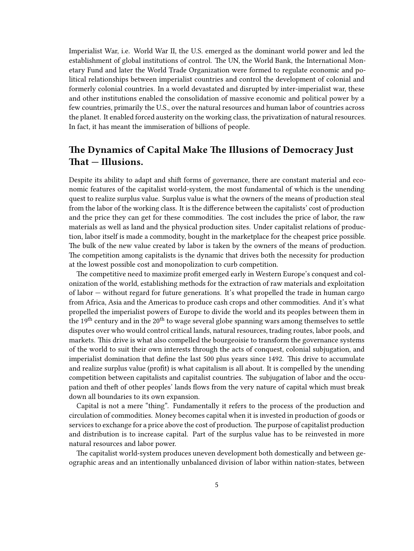Imperialist War, i.e. World War II, the U.S. emerged as the dominant world power and led the establishment of global institutions of control. The UN, the World Bank, the International Monetary Fund and later the World Trade Organization were formed to regulate economic and political relationships between imperialist countries and control the development of colonial and formerly colonial countries. In a world devastated and disrupted by inter-imperialist war, these and other institutions enabled the consolidation of massive economic and political power by a few countries, primarily the U.S., over the natural resources and human labor of countries across the planet. It enabled forced austerity on the working class, the privatization of natural resources. In fact, it has meant the immiseration of billions of people.

## <span id="page-4-0"></span>**The Dynamics of Capital Make The Illusions of Democracy Just That — Illusions.**

Despite its ability to adapt and shift forms of governance, there are constant material and economic features of the capitalist world-system, the most fundamental of which is the unending quest to realize surplus value. Surplus value is what the owners of the means of production steal from the labor of the working class. It is the difference between the capitalists' cost of production and the price they can get for these commodities. The cost includes the price of labor, the raw materials as well as land and the physical production sites. Under capitalist relations of production, labor itself is made a commodity, bought in the marketplace for the cheapest price possible. The bulk of the new value created by labor is taken by the owners of the means of production. The competition among capitalists is the dynamic that drives both the necessity for production at the lowest possible cost and monopolization to curb competition.

The competitive need to maximize profit emerged early in Western Europe's conquest and colonization of the world, establishing methods for the extraction of raw materials and exploitation of labor — without regard for future generations. It's what propelled the trade in human cargo from Africa, Asia and the Americas to produce cash crops and other commodities. And it's what propelled the imperialist powers of Europe to divide the world and its peoples between them in the  $19<sup>th</sup>$  century and in the  $20<sup>th</sup>$  to wage several globe spanning wars among themselves to settle disputes over who would control critical lands, natural resources, trading routes, labor pools, and markets. This drive is what also compelled the bourgeoisie to transform the governance systems of the world to suit their own interests through the acts of conquest, colonial subjugation, and imperialist domination that define the last 500 plus years since 1492. This drive to accumulate and realize surplus value (profit) is what capitalism is all about. It is compelled by the unending competition between capitalists and capitalist countries. The subjugation of labor and the occupation and theft of other peoples' lands flows from the very nature of capital which must break down all boundaries to its own expansion.

Capital is not a mere "thing". Fundamentally it refers to the process of the production and circulation of commodities. Money becomes capital when it is invested in production of goods or services to exchange for a price above the cost of production. The purpose of capitalist production and distribution is to increase capital. Part of the surplus value has to be reinvested in more natural resources and labor power.

The capitalist world-system produces uneven development both domestically and between geographic areas and an intentionally unbalanced division of labor within nation-states, between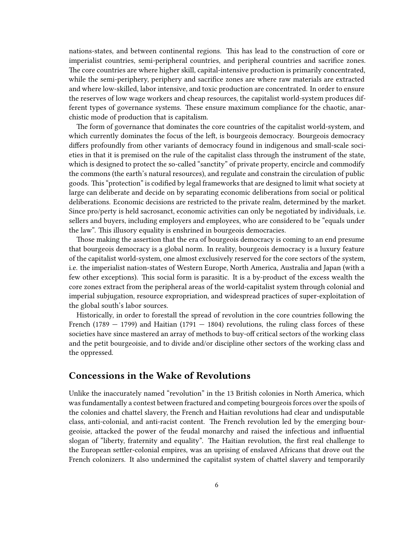nations-states, and between continental regions. This has lead to the construction of core or imperialist countries, semi-peripheral countries, and peripheral countries and sacrifice zones. The core countries are where higher skill, capital-intensive production is primarily concentrated, while the semi-periphery, periphery and sacrifice zones are where raw materials are extracted and where low-skilled, labor intensive, and toxic production are concentrated. In order to ensure the reserves of low wage workers and cheap resources, the capitalist world-system produces different types of governance systems. These ensure maximum compliance for the chaotic, anarchistic mode of production that is capitalism.

The form of governance that dominates the core countries of the capitalist world-system, and which currently dominates the focus of the left, is bourgeois democracy. Bourgeois democracy differs profoundly from other variants of democracy found in indigenous and small-scale societies in that it is premised on the rule of the capitalist class through the instrument of the state, which is designed to protect the so-called "sanctity" of private property, encircle and commodify the commons (the earth's natural resources), and regulate and constrain the circulation of public goods. This "protection" is codified by legal frameworks that are designed to limit what society at large can deliberate and decide on by separating economic deliberations from social or political deliberations. Economic decisions are restricted to the private realm, determined by the market. Since pro/perty is held sacrosanct, economic activities can only be negotiated by individuals, i.e. sellers and buyers, including employers and employees, who are considered to be "equals under the law". This illusory equality is enshrined in bourgeois democracies.

Those making the assertion that the era of bourgeois democracy is coming to an end presume that bourgeois democracy is a global norm. In reality, bourgeois democracy is a luxury feature of the capitalist world-system, one almost exclusively reserved for the core sectors of the system, i.e. the imperialist nation-states of Western Europe, North America, Australia and Japan (with a few other exceptions). This social form is parasitic. It is a by-product of the excess wealth the core zones extract from the peripheral areas of the world-capitalist system through colonial and imperial subjugation, resource expropriation, and widespread practices of super-exploitation of the global south's labor sources.

Historically, in order to forestall the spread of revolution in the core countries following the French (1789  $-$  1799) and Haitian (1791  $-$  1804) revolutions, the ruling class forces of these societies have since mastered an array of methods to buy-off critical sectors of the working class and the petit bourgeoisie, and to divide and/or discipline other sectors of the working class and the oppressed.

## <span id="page-5-0"></span>**Concessions in the Wake of Revolutions**

Unlike the inaccurately named "revolution" in the 13 British colonies in North America, which was fundamentally a contest between fractured and competing bourgeois forces over the spoils of the colonies and chattel slavery, the French and Haitian revolutions had clear and undisputable class, anti-colonial, and anti-racist content. The French revolution led by the emerging bourgeoisie, attacked the power of the feudal monarchy and raised the infectious and influential slogan of "liberty, fraternity and equality". The Haitian revolution, the first real challenge to the European settler-colonial empires, was an uprising of enslaved Africans that drove out the French colonizers. It also undermined the capitalist system of chattel slavery and temporarily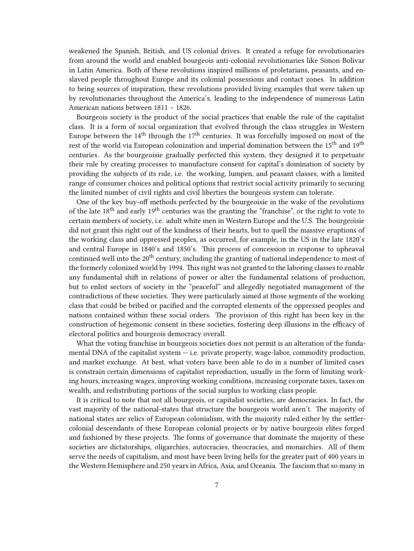weakened the Spanish, British, and US colonial drives. It created a refuge for revolutionaries from around the world and enabled bourgeois anti-colonial revolutionaries like Simon Bolivar in Latin America. Both of these revolutions inspired millions of proletarians, peasants, and enslaved people throughout Europe and its colonial possessions and contact zones. In addition to being sources of inspiration, these revolutions provided living examples that were taken up by revolutionaries throughout the America's, leading to the independence of numerous Latin American nations between 1811 – 1826.

Bourgeois society is the product of the social practices that enable the rule of the capitalist class. It is a form of social organization that evolved through the class struggles in Western Europe between the  $14<sup>th</sup>$  through the  $17<sup>th</sup>$  centuries. It was forcefully imposed on most of the rest of the world via European colonization and imperial domination between the  $15^{th}$  and  $19^{th}$ centuries. As the bourgeoisie gradually perfected this system, they designed it to perpetuate their rule by creating processes to manufacture consent for capital's domination of society by providing the subjects of its rule, i.e. the working, lumpen, and peasant classes, with a limited range of consumer choices and political options that restrict social activity primarily to securing the limited number of civil rights and civil liberties the bourgeois system can tolerate.

One of the key buy-off methods perfected by the bourgeoisie in the wake of the revolutions of the late  $18<sup>th</sup>$  and early  $19<sup>th</sup>$  centuries was the granting the "franchise", or the right to vote to certain members of society, i.e. adult white men in Western Europe and the U.S. The bourgeoisie did not grant this right out of the kindness of their hearts, but to quell the massive eruptions of the working class and oppressed peoples, as occurred, for example, in the US in the late 1820's and central Europe in 1840's and 1850's. This process of concession in response to upheaval continued well into the 20<sup>th</sup> century, including the granting of national independence to most of the formerly colonized world by 1994. This right was not granted to the laboring classes to enable any fundamental shift in relations of power or alter the fundamental relations of production, but to enlist sectors of society in the "peaceful" and allegedly negotiated management of the contradictions of these societies. They were particularly aimed at those segments of the working class that could be bribed or pacified and the corrupted elements of the oppressed peoples and nations contained within these social orders. The provision of this right has been key in the construction of hegemonic consent in these societies, fostering deep illusions in the efficacy of electoral politics and bourgeois democracy overall.

What the voting franchise in bourgeois societies does not permit is an alteration of the fundamental DNA of the capitalist system — i.e. private property, wage-labor, commodity production, and market exchange. At best, what voters have been able to do in a number of limited cases is constrain certain dimensions of capitalist reproduction, usually in the form of limiting working hours, increasing wages, improving working conditions, increasing corporate taxes, taxes on wealth, and redistributing portions of the social surplus to working class people.

It is critical to note that not all bourgeois, or capitalist societies, are democracies. In fact, the vast majority of the national-states that structure the bourgeois world aren't. The majority of national states are relics of European colonialism, with the majority ruled either by the settlercolonial descendants of these European colonial projects or by native bourgeois elites forged and fashioned by these projects. The forms of governance that dominate the majority of these societies are dictatorships, oligarchies, autocracies, theocracies, and monarchies. All of them serve the needs of capitalism, and most have been living hells for the greater part of 400 years in the Western Hemisphere and 250 years in Africa, Asia, and Oceania. The fascism that so many in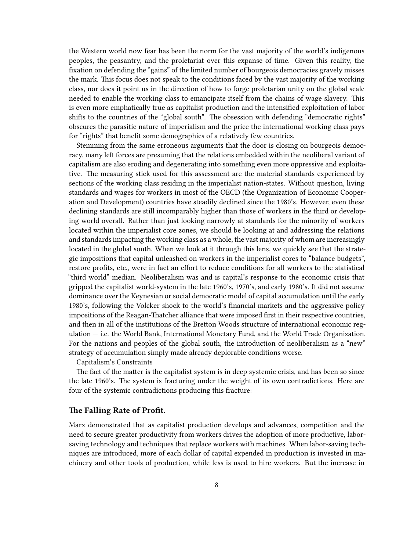the Western world now fear has been the norm for the vast majority of the world's indigenous peoples, the peasantry, and the proletariat over this expanse of time. Given this reality, the fixation on defending the "gains" of the limited number of bourgeois democracies gravely misses the mark. This focus does not speak to the conditions faced by the vast majority of the working class, nor does it point us in the direction of how to forge proletarian unity on the global scale needed to enable the working class to emancipate itself from the chains of wage slavery. This is even more emphatically true as capitalist production and the intensified exploitation of labor shifts to the countries of the "global south". The obsession with defending "democratic rights" obscures the parasitic nature of imperialism and the price the international working class pays for "rights" that benefit some demographics of a relatively few countries.

Stemming from the same erroneous arguments that the door is closing on bourgeois democracy, many left forces are presuming that the relations embedded within the neoliberal variant of capitalism are also eroding and degenerating into something even more oppressive and exploitative. The measuring stick used for this assessment are the material standards experienced by sections of the working class residing in the imperialist nation-states. Without question, living standards and wages for workers in most of the OECD (the Organization of Economic Cooperation and Development) countries have steadily declined since the 1980's. However, even these declining standards are still incomparably higher than those of workers in the third or developing world overall. Rather than just looking narrowly at standards for the minority of workers located within the imperialist core zones, we should be looking at and addressing the relations and standards impacting the working class as a whole, the vast majority of whom are increasingly located in the global south. When we look at it through this lens, we quickly see that the strategic impositions that capital unleashed on workers in the imperialist cores to "balance budgets", restore profits, etc., were in fact an effort to reduce conditions for all workers to the statistical "third world" median. Neoliberalism was and is capital's response to the economic crisis that gripped the capitalist world-system in the late 1960's, 1970's, and early 1980's. It did not assume dominance over the Keynesian or social democratic model of capital accumulation until the early 1980's, following the Volcker shock to the world's financial markets and the aggressive policy impositions of the Reagan-Thatcher alliance that were imposed first in their respective countries, and then in all of the institutions of the Bretton Woods structure of international economic regulation — i.e. the World Bank, International Monetary Fund, and the World Trade Organization. For the nations and peoples of the global south, the introduction of neoliberalism as a "new" strategy of accumulation simply made already deplorable conditions worse.

#### Capitalism's Constraints

The fact of the matter is the capitalist system is in deep systemic crisis, and has been so since the late 1960's. The system is fracturing under the weight of its own contradictions. Here are four of the systemic contradictions producing this fracture:

#### <span id="page-7-0"></span>**The Falling Rate of Profit.**

Marx demonstrated that as capitalist production develops and advances, competition and the need to secure greater productivity from workers drives the adoption of more productive, laborsaving technology and techniques that replace workers with machines. When labor-saving techniques are introduced, more of each dollar of capital expended in production is invested in machinery and other tools of production, while less is used to hire workers. But the increase in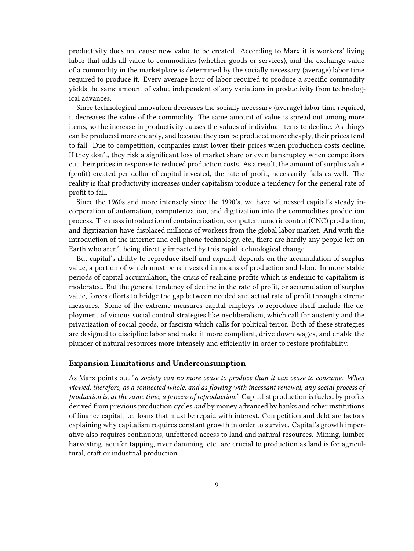productivity does not cause new value to be created. According to Marx it is workers' living labor that adds all value to commodities (whether goods or services), and the exchange value of a commodity in the marketplace is determined by the socially necessary (average) labor time required to produce it. Every average hour of labor required to produce a specific commodity yields the same amount of value, independent of any variations in productivity from technological advances.

Since technological innovation decreases the socially necessary (average) labor time required, it decreases the value of the commodity. The same amount of value is spread out among more items, so the increase in productivity causes the values of individual items to decline. As things can be produced more cheaply, and because they can be produced more cheaply, their prices tend to fall. Due to competition, companies must lower their prices when production costs decline. If they don't, they risk a significant loss of market share or even bankruptcy when competitors cut their prices in response to reduced production costs. As a result, the amount of surplus value (profit) created per dollar of capital invested, the rate of profit, necessarily falls as well. The reality is that productivity increases under capitalism produce a tendency for the general rate of profit to fall.

Since the 1960s and more intensely since the 1990's, we have witnessed capital's steady incorporation of automation, computerization, and digitization into the commodities production process. The mass introduction of containerization, computer numeric control (CNC) production, and digitization have displaced millions of workers from the global labor market. And with the introduction of the internet and cell phone technology, etc., there are hardly any people left on Earth who aren't being directly impacted by this rapid technological change

But capital's ability to reproduce itself and expand, depends on the accumulation of surplus value, a portion of which must be reinvested in means of production and labor. In more stable periods of capital accumulation, the crisis of realizing profits which is endemic to capitalism is moderated. But the general tendency of decline in the rate of profit, or accumulation of surplus value, forces efforts to bridge the gap between needed and actual rate of profit through extreme measures. Some of the extreme measures capital employs to reproduce itself include the deployment of vicious social control strategies like neoliberalism, which call for austerity and the privatization of social goods, or fascism which calls for political terror. Both of these strategies are designed to discipline labor and make it more compliant, drive down wages, and enable the plunder of natural resources more intensely and efficiently in order to restore profitability.

#### <span id="page-8-0"></span>**Expansion Limitations and Underconsumption**

As Marx points out "*a society can no more cease to produce than it can cease to consume. When viewed, therefore, as a connected whole, and as flowing with incessant renewal, any social process of production is, at the same time, a process of reproduction."* Capitalist production is fueled by profits derived from previous production cycles *and* by money advanced by banks and other institutions of finance capital, i.e. loans that must be repaid with interest. Competition and debt are factors explaining why capitalism requires constant growth in order to survive. Capital's growth imperative also requires continuous, unfettered access to land and natural resources. Mining, lumber harvesting, aquifer tapping, river damming, etc. are crucial to production as land is for agricultural, craft or industrial production.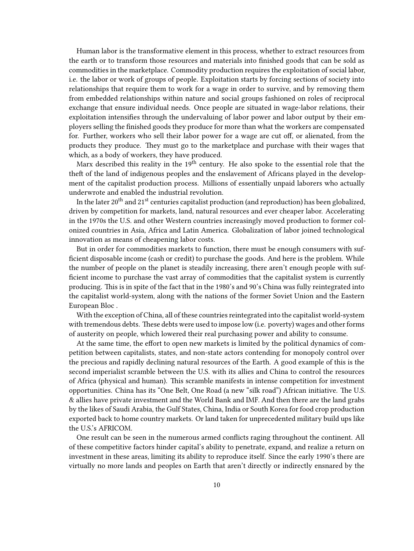Human labor is the transformative element in this process, whether to extract resources from the earth or to transform those resources and materials into finished goods that can be sold as commodities in the marketplace. Commodity production requires the exploitation of social labor, i.e. the labor or work of groups of people. Exploitation starts by forcing sections of society into relationships that require them to work for a wage in order to survive, and by removing them from embedded relationships within nature and social groups fashioned on roles of reciprocal exchange that ensure individual needs. Once people are situated in wage-labor relations, their exploitation intensifies through the undervaluing of labor power and labor output by their employers selling the finished goods they produce for more than what the workers are compensated for. Further, workers who sell their labor power for a wage are cut off, or alienated, from the products they produce. They must go to the marketplace and purchase with their wages that which, as a body of workers, they have produced.

Marx described this reality in the  $19<sup>th</sup>$  century. He also spoke to the essential role that the theft of the land of indigenous peoples and the enslavement of Africans played in the development of the capitalist production process. Millions of essentially unpaid laborers who actually underwrote and enabled the industrial revolution.

In the later  $20^{th}$  and  $21^{st}$  centuries capitalist production (and reproduction) has been globalized, driven by competition for markets, land, natural resources and ever cheaper labor. Accelerating in the 1970s the U.S. and other Western countries increasingly moved production to former colonized countries in Asia, Africa and Latin America. Globalization of labor joined technological innovation as means of cheapening labor costs.

But in order for commodities markets to function, there must be enough consumers with sufficient disposable income (cash or credit) to purchase the goods. And here is the problem. While the number of people on the planet is steadily increasing, there aren't enough people with sufficient income to purchase the vast array of commodities that the capitalist system is currently producing. This is in spite of the fact that in the 1980's and 90's China was fully reintegrated into the capitalist world-system, along with the nations of the former Soviet Union and the Eastern European Bloc .

With the exception of China, all of these countries reintegrated into the capitalist world-system with tremendous debts. These debts were used to impose low (i.e. poverty) wages and other forms of austerity on people, which lowered their real purchasing power and ability to consume.

At the same time, the effort to open new markets is limited by the political dynamics of competition between capitalists, states, and non-state actors contending for monopoly control over the precious and rapidly declining natural resources of the Earth. A good example of this is the second imperialist scramble between the U.S. with its allies and China to control the resources of Africa (physical and human). This scramble manifests in intense competition for investment opportunities. China has its "One Belt, One Road (a new "silk road") African initiative. The U.S. & allies have private investment and the World Bank and IMF. And then there are the land grabs by the likes of Saudi Arabia, the Gulf States, China, India or South Korea for food crop production exported back to home country markets. Or land taken for unprecedented military build ups like the U.S.'s AFRICOM.

One result can be seen in the numerous armed conflicts raging throughout the continent. All of these competitive factors hinder capital's ability to penetrate, expand, and realize a return on investment in these areas, limiting its ability to reproduce itself. Since the early 1990's there are virtually no more lands and peoples on Earth that aren't directly or indirectly ensnared by the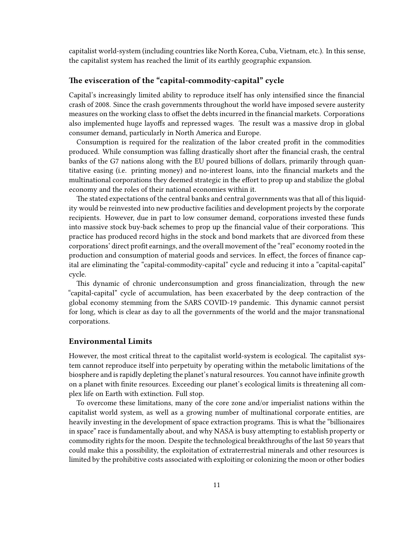capitalist world-system (including countries like North Korea, Cuba, Vietnam, etc.). In this sense, the capitalist system has reached the limit of its earthly geographic expansion.

#### <span id="page-10-0"></span>**The evisceration of the "capital-commodity-capital" cycle**

Capital's increasingly limited ability to reproduce itself has only intensified since the financial crash of 2008. Since the crash governments throughout the world have imposed severe austerity measures on the working class to offset the debts incurred in the financial markets. Corporations also implemented huge layoffs and repressed wages. The result was a massive drop in global consumer demand, particularly in North America and Europe.

Consumption is required for the realization of the labor created profit in the commodities produced. While consumption was falling drastically short after the financial crash, the central banks of the G7 nations along with the EU poured billions of dollars, primarily through quantitative easing (i.e. printing money) and no-interest loans, into the financial markets and the multinational corporations they deemed strategic in the effort to prop up and stabilize the global economy and the roles of their national economies within it.

The stated expectations of the central banks and central governments was that all of this liquidity would be reinvested into new productive facilities and development projects by the corporate recipients. However, due in part to low consumer demand, corporations invested these funds into massive stock buy-back schemes to prop up the financial value of their corporations. This practice has produced record highs in the stock and bond markets that are divorced from these corporations' direct profit earnings, and the overall movement of the "real" economy rooted in the production and consumption of material goods and services. In effect, the forces of finance capital are eliminating the "capital-commodity-capital" cycle and reducing it into a "capital-capital" cycle.

This dynamic of chronic underconsumption and gross financialization, through the new "capital-capital" cycle of accumulation, has been exacerbated by the deep contraction of the global economy stemming from the SARS COVID-19 pandemic. This dynamic cannot persist for long, which is clear as day to all the governments of the world and the major transnational corporations.

#### <span id="page-10-1"></span>**Environmental Limits**

However, the most critical threat to the capitalist world-system is ecological. The capitalist system cannot reproduce itself into perpetuity by operating within the metabolic limitations of the biosphere and is rapidly depleting the planet's natural resources. You cannot have infinite growth on a planet with finite resources. Exceeding our planet's ecological limits is threatening all complex life on Earth with extinction. Full stop.

To overcome these limitations, many of the core zone and/or imperialist nations within the capitalist world system, as well as a growing number of multinational corporate entities, are heavily investing in the development of space extraction programs. This is what the "billionaires in space" race is fundamentally about, and why NASA is busy attempting to establish property or commodity rights for the moon. Despite the technological breakthroughs of the last 50 years that could make this a possibility, the exploitation of extraterrestrial minerals and other resources is limited by the prohibitive costs associated with exploiting or colonizing the moon or other bodies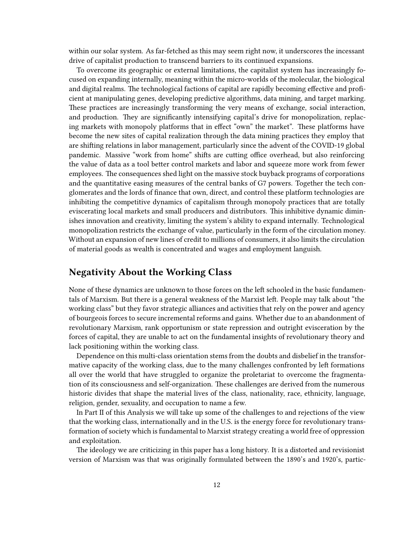within our solar system. As far-fetched as this may seem right now, it underscores the incessant drive of capitalist production to transcend barriers to its continued expansions.

To overcome its geographic or external limitations, the capitalist system has increasingly focused on expanding internally, meaning within the micro-worlds of the molecular, the biological and digital realms. The technological factions of capital are rapidly becoming effective and proficient at manipulating genes, developing predictive algorithms, data mining, and target marking. These practices are increasingly transforming the very means of exchange, social interaction, and production. They are significantly intensifying capital's drive for monopolization, replacing markets with monopoly platforms that in effect "own" the market". These platforms have become the new sites of capital realization through the data mining practices they employ that are shifting relations in labor management, particularly since the advent of the COVID-19 global pandemic. Massive "work from home" shifts are cutting office overhead, but also reinforcing the value of data as a tool better control markets and labor and squeeze more work from fewer employees. The consequences shed light on the massive stock buyback programs of corporations and the quantitative easing measures of the central banks of G7 powers. Together the tech conglomerates and the lords of finance that own, direct, and control these platform technologies are inhibiting the competitive dynamics of capitalism through monopoly practices that are totally eviscerating local markets and small producers and distributors. This inhibitive dynamic diminishes innovation and creativity, limiting the system's ability to expand internally. Technological monopolization restricts the exchange of value, particularly in the form of the circulation money. Without an expansion of new lines of credit to millions of consumers, it also limits the circulation of material goods as wealth is concentrated and wages and employment languish.

## <span id="page-11-0"></span>**Negativity About the Working Class**

None of these dynamics are unknown to those forces on the left schooled in the basic fundamentals of Marxism. But there is a general weakness of the Marxist left. People may talk about "the working class" but they favor strategic alliances and activities that rely on the power and agency of bourgeois forces to secure incremental reforms and gains. Whether due to an abandonment of revolutionary Marxism, rank opportunism or state repression and outright evisceration by the forces of capital, they are unable to act on the fundamental insights of revolutionary theory and lack positioning within the working class.

Dependence on this multi-class orientation stems from the doubts and disbelief in the transformative capacity of the working class, due to the many challenges confronted by left formations all over the world that have struggled to organize the proletariat to overcome the fragmentation of its consciousness and self-organization. These challenges are derived from the numerous historic divides that shape the material lives of the class, nationality, race, ethnicity, language, religion, gender, sexuality, and occupation to name a few.

In Part II of this Analysis we will take up some of the challenges to and rejections of the view that the working class, internationally and in the U.S. is the energy force for revolutionary transformation of society which is fundamental to Marxist strategy creating a world free of oppression and exploitation.

The ideology we are criticizing in this paper has a long history. It is a distorted and revisionist version of Marxism was that was originally formulated between the 1890's and 1920's, partic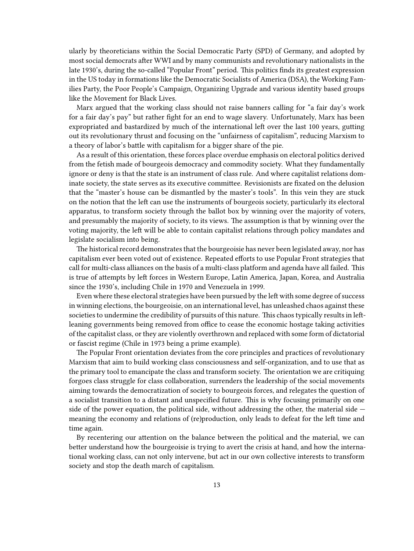ularly by theoreticians within the Social Democratic Party (SPD) of Germany, and adopted by most social democrats after WWI and by many communists and revolutionary nationalists in the late 1930's, during the so-called "Popular Front" period. This politics finds its greatest expression in the US today in formations like the Democratic Socialists of America (DSA), the Working Families Party, the Poor People's Campaign, Organizing Upgrade and various identity based groups like the Movement for Black Lives.

Marx argued that the working class should not raise banners calling for "a fair day's work for a fair day's pay" but rather fight for an end to wage slavery. Unfortunately, Marx has been expropriated and bastardized by much of the international left over the last 100 years, gutting out its revolutionary thrust and focusing on the "unfairness of capitalism", reducing Marxism to a theory of labor's battle with capitalism for a bigger share of the pie.

As a result of this orientation, these forces place overdue emphasis on electoral politics derived from the fetish made of bourgeois democracy and commodity society. What they fundamentally ignore or deny is that the state is an instrument of class rule. And where capitalist relations dominate society, the state serves as its executive committee. Revisionists are fixated on the delusion that the "master's house can be dismantled by the master's tools". In this vein they are stuck on the notion that the left can use the instruments of bourgeois society, particularly its electoral apparatus, to transform society through the ballot box by winning over the majority of voters, and presumably the majority of society, to its views. The assumption is that by winning over the voting majority, the left will be able to contain capitalist relations through policy mandates and legislate socialism into being.

The historical record demonstrates that the bourgeoisie has never been legislated away, nor has capitalism ever been voted out of existence. Repeated efforts to use Popular Front strategies that call for multi-class alliances on the basis of a multi-class platform and agenda have all failed. This is true of attempts by left forces in Western Europe, Latin America, Japan, Korea, and Australia since the 1930's, including Chile in 1970 and Venezuela in 1999.

Even where these electoral strategies have been pursued by the left with some degree of success in winning elections, the bourgeoisie, on an international level, has unleashed chaos against these societies to undermine the credibility of pursuits of this nature. This chaos typically results in leftleaning governments being removed from office to cease the economic hostage taking activities of the capitalist class, or they are violently overthrown and replaced with some form of dictatorial or fascist regime (Chile in 1973 being a prime example).

The Popular Front orientation deviates from the core principles and practices of revolutionary Marxism that aim to build working class consciousness and self-organization, and to use that as the primary tool to emancipate the class and transform society. The orientation we are critiquing forgoes class struggle for class collaboration, surrenders the leadership of the social movements aiming towards the democratization of society to bourgeois forces, and relegates the question of a socialist transition to a distant and unspecified future. This is why focusing primarily on one side of the power equation, the political side, without addressing the other, the material side  $$ meaning the economy and relations of (re)production, only leads to defeat for the left time and time again.

By recentering our attention on the balance between the political and the material, we can better understand how the bourgeoisie is trying to avert the crisis at hand, and how the international working class, can not only intervene, but act in our own collective interests to transform society and stop the death march of capitalism.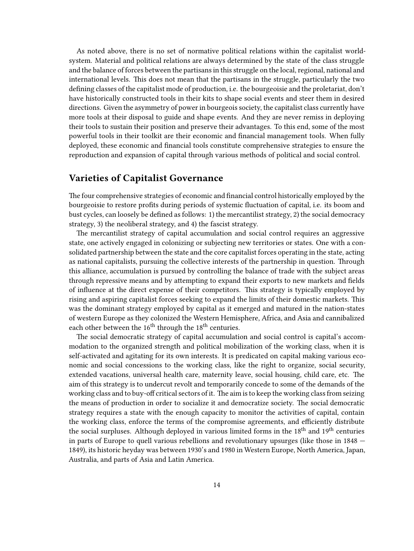As noted above, there is no set of normative political relations within the capitalist worldsystem. Material and political relations are always determined by the state of the class struggle and the balance of forces between the partisans in this struggle on the local, regional, national and international levels. This does not mean that the partisans in the struggle, particularly the two defining classes of the capitalist mode of production, i.e. the bourgeoisie and the proletariat, don't have historically constructed tools in their kits to shape social events and steer them in desired directions. Given the asymmetry of power in bourgeois society, the capitalist class currently have more tools at their disposal to guide and shape events. And they are never remiss in deploying their tools to sustain their position and preserve their advantages. To this end, some of the most powerful tools in their toolkit are their economic and financial management tools. When fully deployed, these economic and financial tools constitute comprehensive strategies to ensure the reproduction and expansion of capital through various methods of political and social control.

### <span id="page-13-0"></span>**Varieties of Capitalist Governance**

The four comprehensive strategies of economic and financial control historically employed by the bourgeoisie to restore profits during periods of systemic fluctuation of capital, i.e. its boom and bust cycles, can loosely be defined as follows: 1) the mercantilist strategy, 2) the social democracy strategy, 3) the neoliberal strategy, and 4) the fascist strategy.

The mercantilist strategy of capital accumulation and social control requires an aggressive state, one actively engaged in colonizing or subjecting new territories or states. One with a consolidated partnership between the state and the core capitalist forces operating in the state, acting as national capitalists, pursuing the collective interests of the partnership in question. Through this alliance, accumulation is pursued by controlling the balance of trade with the subject areas through repressive means and by attempting to expand their exports to new markets and fields of influence at the direct expense of their competitors. This strategy is typically employed by rising and aspiring capitalist forces seeking to expand the limits of their domestic markets. This was the dominant strategy employed by capital as it emerged and matured in the nation-states of western Europe as they colonized the Western Hemisphere, Africa, and Asia and cannibalized each other between the  $16<sup>th</sup>$  through the  $18<sup>th</sup>$  centuries.

The social democratic strategy of capital accumulation and social control is capital's accommodation to the organized strength and political mobilization of the working class, when it is self-activated and agitating for its own interests. It is predicated on capital making various economic and social concessions to the working class, like the right to organize, social security, extended vacations, universal health care, maternity leave, social housing, child care, etc. The aim of this strategy is to undercut revolt and temporarily concede to some of the demands of the working class and to buy-off critical sectors of it. The aim is to keep the working class from seizing the means of production in order to socialize it and democratize society. The social democratic strategy requires a state with the enough capacity to monitor the activities of capital, contain the working class, enforce the terms of the compromise agreements, and efficiently distribute the social surpluses. Although deployed in various limited forms in the 18<sup>th</sup> and 19<sup>th</sup> centuries in parts of Europe to quell various rebellions and revolutionary upsurges (like those in 1848 — 1849), its historic heyday was between 1930's and 1980 in Western Europe, North America, Japan, Australia, and parts of Asia and Latin America.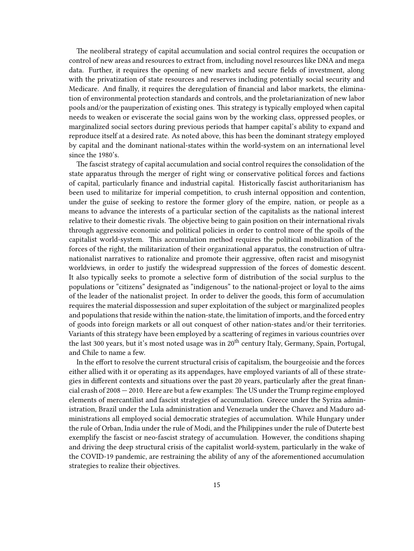The neoliberal strategy of capital accumulation and social control requires the occupation or control of new areas and resources to extract from, including novel resources like DNA and mega data. Further, it requires the opening of new markets and secure fields of investment, along with the privatization of state resources and reserves including potentially social security and Medicare. And finally, it requires the deregulation of financial and labor markets, the elimination of environmental protection standards and controls, and the proletarianization of new labor pools and/or the pauperization of existing ones. This strategy is typically employed when capital needs to weaken or eviscerate the social gains won by the working class, oppressed peoples, or marginalized social sectors during previous periods that hamper capital's ability to expand and reproduce itself at a desired rate. As noted above, this has been the dominant strategy employed by capital and the dominant national-states within the world-system on an international level since the 1980's.

The fascist strategy of capital accumulation and social control requires the consolidation of the state apparatus through the merger of right wing or conservative political forces and factions of capital, particularly finance and industrial capital. Historically fascist authoritarianism has been used to militarize for imperial competition, to crush internal opposition and contention, under the guise of seeking to restore the former glory of the empire, nation, or people as a means to advance the interests of a particular section of the capitalists as the national interest relative to their domestic rivals. The objective being to gain position on their international rivals through aggressive economic and political policies in order to control more of the spoils of the capitalist world-system. This accumulation method requires the political mobilization of the forces of the right, the militarization of their organizational apparatus, the construction of ultranationalist narratives to rationalize and promote their aggressive, often racist and misogynist worldviews, in order to justify the widespread suppression of the forces of domestic descent. It also typically seeks to promote a selective form of distribution of the social surplus to the populations or "citizens" designated as "indigenous" to the national-project or loyal to the aims of the leader of the nationalist project. In order to deliver the goods, this form of accumulation requires the material dispossession and super exploitation of the subject or marginalized peoples and populations that reside within the nation-state, the limitation of imports, and the forced entry of goods into foreign markets or all out conquest of other nation-states and/or their territories. Variants of this strategy have been employed by a scattering of regimes in various countries over the last 300 years, but it's most noted usage was in 20<sup>th</sup> century Italy, Germany, Spain, Portugal, and Chile to name a few.

In the effort to resolve the current structural crisis of capitalism, the bourgeoisie and the forces either allied with it or operating as its appendages, have employed variants of all of these strategies in different contexts and situations over the past 20 years, particularly after the great financial crash of 2008 — 2010. Here are but a few examples: The US under the Trump regime employed elements of mercantilist and fascist strategies of accumulation. Greece under the Syriza administration, Brazil under the Lula administration and Venezuela under the Chavez and Maduro administrations all employed social democratic strategies of accumulation. While Hungary under the rule of Orban, India under the rule of Modi, and the Philippines under the rule of Duterte best exemplify the fascist or neo-fascist strategy of accumulation. However, the conditions shaping and driving the deep structural crisis of the capitalist world-system, particularly in the wake of the COVID-19 pandemic, are restraining the ability of any of the aforementioned accumulation strategies to realize their objectives.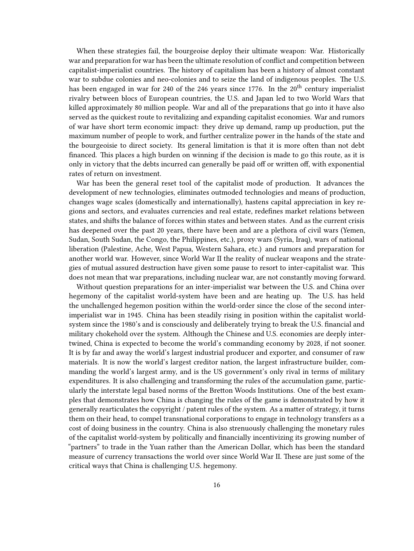When these strategies fail, the bourgeoise deploy their ultimate weapon: War. Historically war and preparation for war has been the ultimate resolution of conflict and competition between capitalist-imperialist countries. The history of capitalism has been a history of almost constant war to subdue colonies and neo-colonies and to seize the land of indigenous peoples. The U.S. has been engaged in war for 240 of the 246 years since 1776. In the  $20<sup>th</sup>$  century imperialist rivalry between blocs of European countries, the U.S. and Japan led to two World Wars that killed approximately 80 million people. War and all of the preparations that go into it have also served as the quickest route to revitalizing and expanding capitalist economies. War and rumors of war have short term economic impact: they drive up demand, ramp up production, put the maximum number of people to work, and further centralize power in the hands of the state and the bourgeoisie to direct society. Its general limitation is that it is more often than not debt financed. This places a high burden on winning if the decision is made to go this route, as it is only in victory that the debts incurred can generally be paid off or written off, with exponential rates of return on investment.

War has been the general reset tool of the capitalist mode of production. It advances the development of new technologies, eliminates outmoded technologies and means of production, changes wage scales (domestically and internationally), hastens capital appreciation in key regions and sectors, and evaluates currencies and real estate, redefines market relations between states, and shifts the balance of forces within states and between states. And as the current crisis has deepened over the past 20 years, there have been and are a plethora of civil wars (Yemen, Sudan, South Sudan, the Congo, the Philippines, etc.), proxy wars (Syria, Iraq), wars of national liberation (Palestine, Ache, West Papua, Western Sahara, etc.) and rumors and preparation for another world war. However, since World War II the reality of nuclear weapons and the strategies of mutual assured destruction have given some pause to resort to inter-capitalist war. This does not mean that war preparations, including nuclear war, are not constantly moving forward.

Without question preparations for an inter-imperialist war between the U.S. and China over hegemony of the capitalist world-system have been and are heating up. The U.S. has held the unchallenged hegemon position within the world-order since the close of the second interimperialist war in 1945. China has been steadily rising in position within the capitalist worldsystem since the 1980's and is consciously and deliberately trying to break the U.S. financial and military chokehold over the system. Although the Chinese and U.S. economies are deeply intertwined, China is expected to become the world's commanding economy by 2028, if not sooner. It is by far and away the world's largest industrial producer and exporter, and consumer of raw materials. It is now the world's largest creditor nation, the largest infrastructure builder, commanding the world's largest army, and is the US government's only rival in terms of military expenditures. It is also challenging and transforming the rules of the accumulation game, particularly the interstate legal based norms of the Bretton Woods Institutions. One of the best examples that demonstrates how China is changing the rules of the game is demonstrated by how it generally rearticulates the copyright / patent rules of the system. As a matter of strategy, it turns them on their head, to compel transnational corporations to engage in technology transfers as a cost of doing business in the country. China is also strenuously challenging the monetary rules of the capitalist world-system by politically and financially incentivizing its growing number of "partners" to trade in the Yuan rather than the American Dollar, which has been the standard measure of currency transactions the world over since World War II. These are just some of the critical ways that China is challenging U.S. hegemony.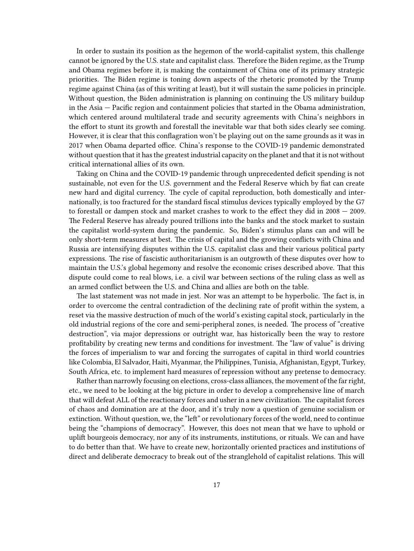In order to sustain its position as the hegemon of the world-capitalist system, this challenge cannot be ignored by the U.S. state and capitalist class. Therefore the Biden regime, as the Trump and Obama regimes before it, is making the containment of China one of its primary strategic priorities. The Biden regime is toning down aspects of the rhetoric promoted by the Trump regime against China (as of this writing at least), but it will sustain the same policies in principle. Without question, the Biden administration is planning on continuing the US military buildup in the Asia — Pacific region and containment policies that started in the Obama administration, which centered around multilateral trade and security agreements with China's neighbors in the effort to stunt its growth and forestall the inevitable war that both sides clearly see coming. However, it is clear that this conflagration won't be playing out on the same grounds as it was in 2017 when Obama departed office. China's response to the COVID-19 pandemic demonstrated without question that it has the greatest industrial capacity on the planet and that it is not without critical international allies of its own.

Taking on China and the COVID-19 pandemic through unprecedented deficit spending is not sustainable, not even for the U.S. government and the Federal Reserve which by fiat can create new hard and digital currency. The cycle of capital reproduction, both domestically and internationally, is too fractured for the standard fiscal stimulus devices typically employed by the G7 to forestall or dampen stock and market crashes to work to the effect they did in 2008 — 2009. The Federal Reserve has already poured trillions into the banks and the stock market to sustain the capitalist world-system during the pandemic. So, Biden's stimulus plans can and will be only short-term measures at best. The crisis of capital and the growing conflicts with China and Russia are intensifying disputes within the U.S. capitalist class and their various political party expressions. The rise of fascistic authoritarianism is an outgrowth of these disputes over how to maintain the U.S.'s global hegemony and resolve the economic crises described above. That this dispute could come to real blows, i.e. a civil war between sections of the ruling class as well as an armed conflict between the U.S. and China and allies are both on the table.

The last statement was not made in jest. Nor was an attempt to be hyperbolic. The fact is, in order to overcome the central contradiction of the declining rate of profit within the system, a reset via the massive destruction of much of the world's existing capital stock, particularly in the old industrial regions of the core and semi-peripheral zones, is needed. The process of "creative destruction", via major depressions or outright war, has historically been the way to restore profitability by creating new terms and conditions for investment. The "law of value" is driving the forces of imperialism to war and forcing the surrogates of capital in third world countries like Colombia, El Salvador, Haiti, Myanmar, the Philippines, Tunisia, Afghanistan, Egypt, Turkey, South Africa, etc. to implement hard measures of repression without any pretense to democracy.

Rather than narrowly focusing on elections, cross-class alliances, the movement of the far right, etc., we need to be looking at the big picture in order to develop a comprehensive line of march that will defeat ALL of the reactionary forces and usher in a new civilization. The capitalist forces of chaos and domination are at the door, and it's truly now a question of genuine socialism or extinction. Without question, we, the "left" or revolutionary forces of the world, need to continue being the "champions of democracy". However, this does not mean that we have to uphold or uplift bourgeois democracy, nor any of its instruments, institutions, or rituals. We can and have to do better than that. We have to create new, horizontally oriented practices and institutions of direct and deliberate democracy to break out of the stranglehold of capitalist relations. This will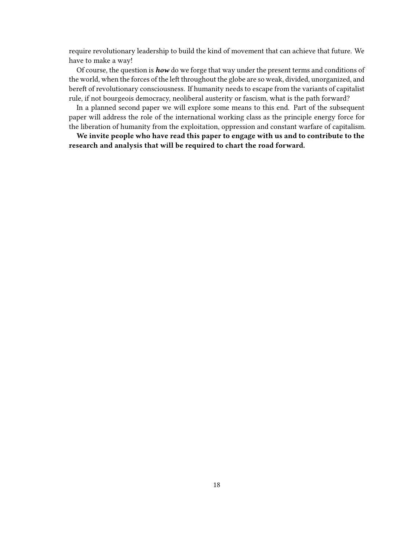require revolutionary leadership to build the kind of movement that can achieve that future. We have to make a way!

Of course, the question is *how* do we forge that way under the present terms and conditions of the world, when the forces of the left throughout the globe are so weak, divided, unorganized, and bereft of revolutionary consciousness. If humanity needs to escape from the variants of capitalist rule, if not bourgeois democracy, neoliberal austerity or fascism, what is the path forward?

In a planned second paper we will explore some means to this end. Part of the subsequent paper will address the role of the international working class as the principle energy force for the liberation of humanity from the exploitation, oppression and constant warfare of capitalism.

**We invite people who have read this paper to engage with us and to contribute to the research and analysis that will be required to chart the road forward.**